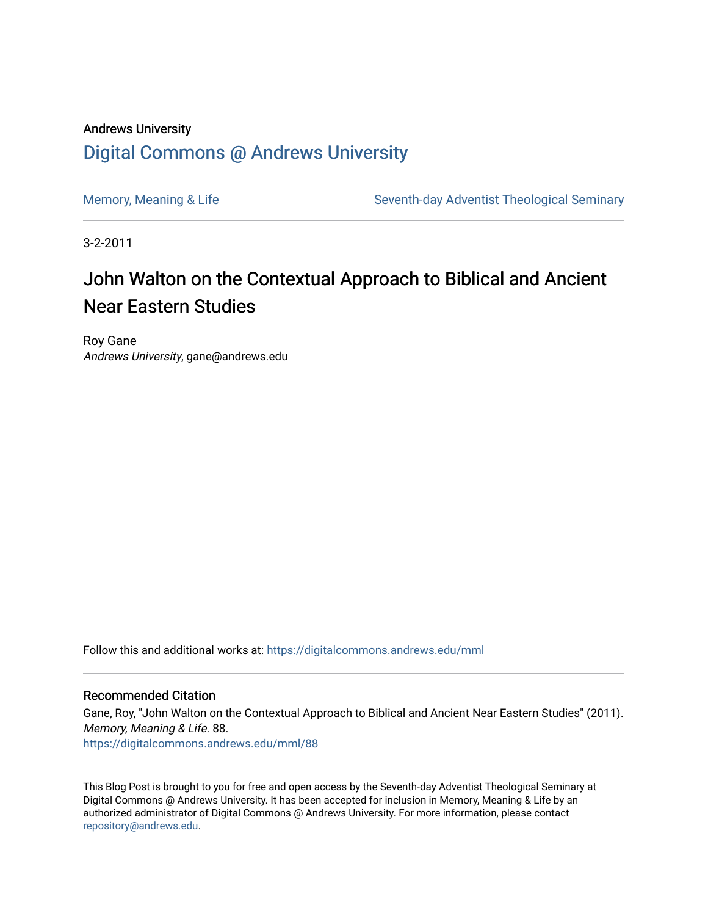#### Andrews University [Digital Commons @ Andrews University](https://digitalcommons.andrews.edu/)

[Memory, Meaning & Life](https://digitalcommons.andrews.edu/mml) Seventh-day Adventist Theological Seminary

3-2-2011

### John Walton on the Contextual Approach to Biblical and Ancient Near Eastern Studies

Roy Gane Andrews University, gane@andrews.edu

Follow this and additional works at: [https://digitalcommons.andrews.edu/mml](https://digitalcommons.andrews.edu/mml?utm_source=digitalcommons.andrews.edu%2Fmml%2F88&utm_medium=PDF&utm_campaign=PDFCoverPages) 

#### Recommended Citation

Gane, Roy, "John Walton on the Contextual Approach to Biblical and Ancient Near Eastern Studies" (2011). Memory, Meaning & Life. 88.

[https://digitalcommons.andrews.edu/mml/88](https://digitalcommons.andrews.edu/mml/88?utm_source=digitalcommons.andrews.edu%2Fmml%2F88&utm_medium=PDF&utm_campaign=PDFCoverPages)

This Blog Post is brought to you for free and open access by the Seventh-day Adventist Theological Seminary at Digital Commons @ Andrews University. It has been accepted for inclusion in Memory, Meaning & Life by an authorized administrator of Digital Commons @ Andrews University. For more information, please contact [repository@andrews.edu](mailto:repository@andrews.edu).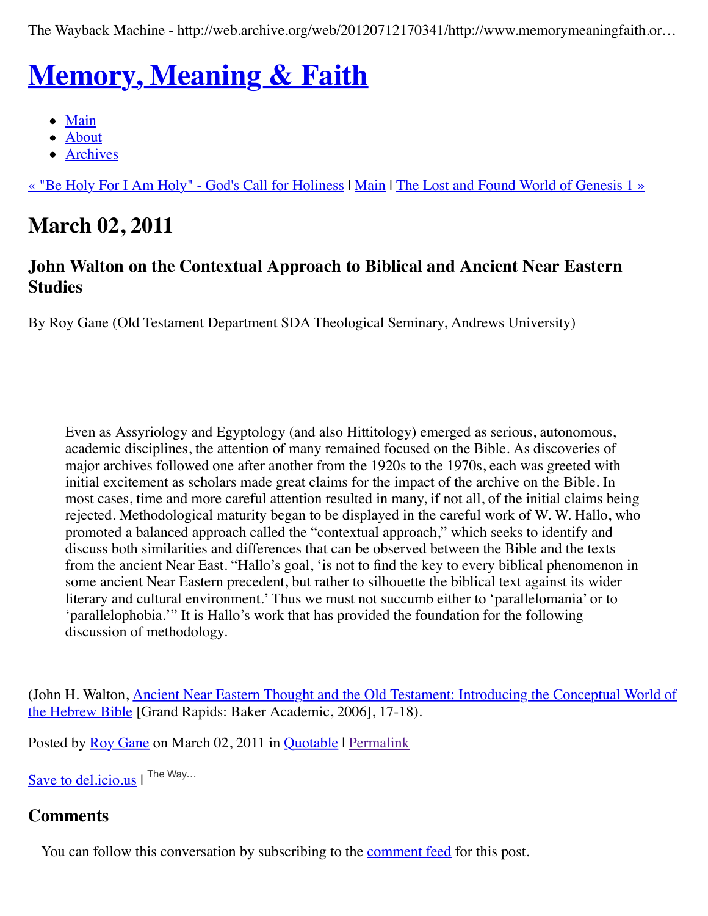The Wayback Machine - http://web.archive.org/web/20120712170341/http://www.memorymeaningfaith.or…

# **[Memory, Meaning & Faith](http://web.archive.org/web/20120712170341/http://www.memorymeaningfaith.org/blog/)**

- $\bullet$  [Main](http://web.archive.org/web/20120712170341/http://www.memorymeaningfaith.org/blog)
- [About](http://web.archive.org/web/20120712170341/http://www.memorymeaningfaith.org/blog/about.html)
- [Archives](http://web.archive.org/web/20120712170341/http://www.memorymeaningfaith.org/blog/archives.html)

[« "Be Holy For I Am Holy" - God's Call for Holiness](http://web.archive.org/web/20120712170341/http://www.memorymeaningfaith.org/blog/2011/02/be-holy-for-i-am-holy-gods-call-for-holiness.html) | [Main](http://web.archive.org/web/20120712170341/http://www.memorymeaningfaith.org/blog/) | [The Lost and Found World of Genesis 1 »](http://web.archive.org/web/20120712170341/http://www.memorymeaningfaith.org/blog/2011/03/the-lost-and-found-world-of-genesis-1.html)

# **March 02, 2011**

#### **John Walton on the Contextual Approach to Biblical and Ancient Near Eastern Studies**

By Roy Gane (Old Testament Department SDA Theological Seminary, Andrews University)

Even as Assyriology and Egyptology (and also Hittitology) emerged as serious, autonomous, academic disciplines, the attention of many remained focused on the Bible. As discoveries of major archives followed one after another from the 1920s to the 1970s, each was greeted with initial excitement as scholars made great claims for the impact of the archive on the Bible. In most cases, time and more careful attention resulted in many, if not all, of the initial claims being rejected. Methodological maturity began to be displayed in the careful work of W. W. Hallo, who promoted a balanced approach called the "contextual approach," which seeks to identify and discuss both similarities and differences that can be observed between the Bible and the texts from the ancient Near East. "Hallo's goal, 'is not to find the key to every biblical phenomenon in some ancient Near Eastern precedent, but rather to silhouette the biblical text against its wider literary and cultural environment.' Thus we must not succumb either to 'parallelomania' or to 'parallelophobia.'" It is Hallo's work that has provided the foundation for the following discussion of methodology.

(John H. Walton, **Ancient Near Eastern Thought and the Old Testament: Introducing the Conceptual World of** the Hebrew Bible [Grand Rapids: Baker Academic, 2006], 17-18).

Posted by [Roy Gane](http://web.archive.org/web/20120712170341/http://profile.typepad.com/rgane) on March 02, 2011 in [Quotable](http://web.archive.org/web/20120712170341/http://www.memorymeaningfaith.org/blog/sources/) | [Permalink](http://web.archive.org/web/20120712170341/http://www.memorymeaningfaith.org/blog/2011/03/quote-john-walton-contextual-approach-bible-anetexts.html)

[Save to del.icio.us](http://web.archive.org/web/20120712170341/http://del.icio.us/post) I The Way...

#### **Comments**

You can follow this conversation by subscribing to the [comment feed](http://web.archive.org/web/20120712170341/http://www.memorymeaningfaith.org/blog/2011/03/quote-john-walton-contextual-approach-bible-anetexts/comments/atom.xml) for this post.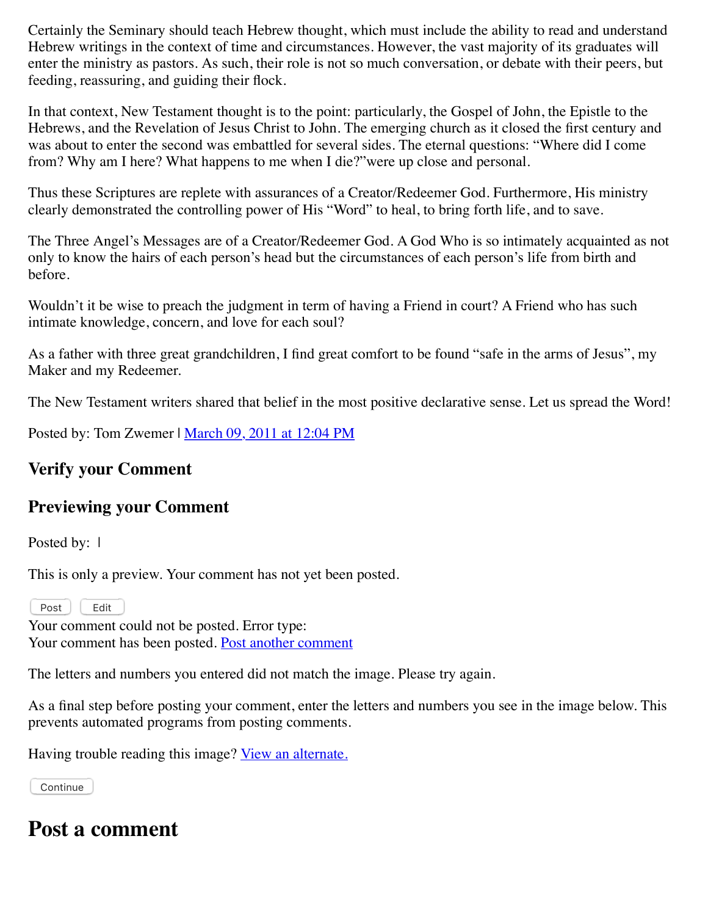Certainly the Seminary should teach Hebrew thought, which must include the ability to read and understand Hebrew writings in the context of time and circumstances. However, the vast majority of its graduates will enter the ministry as pastors. As such, their role is not so much conversation, or debate with their peers, but feeding, reassuring, and guiding their flock.

In that context, New Testament thought is to the point: particularly, the Gospel of John, the Epistle to the Hebrews, and the Revelation of Jesus Christ to John. The emerging church as it closed the first century and was about to enter the second was embattled for several sides. The eternal questions: "Where did I come from? Why am I here? What happens to me when I die?"were up close and personal.

Thus these Scriptures are replete with assurances of a Creator/Redeemer God. Furthermore, His ministry clearly demonstrated the controlling power of His "Word" to heal, to bring forth life, and to save.

The Three Angel's Messages are of a Creator/Redeemer God. A God Who is so intimately acquainted as not only to know the hairs of each person's head but the circumstances of each person's life from birth and before.

Wouldn't it be wise to preach the judgment in term of having a Friend in court? A Friend who has such intimate knowledge, concern, and love for each soul?

As a father with three great grandchildren, I find great comfort to be found "safe in the arms of Jesus", my Maker and my Redeemer.

The New Testament writers shared that belief in the most positive declarative sense. Let us spread the Word!

Posted by: Tom Zwemer | [March 09, 2011 at 12:04 PM](http://web.archive.org/web/20120712170341/http://www.memorymeaningfaith.org/blog/2011/03/quote-john-walton-contextual-approach-bible-anetexts.html?cid=6a01287656f488970c0147e31a66cf970b#comment-6a01287656f488970c0147e31a66cf970b)

#### **Verify your Comment**

#### **Previewing your Comment**

Posted by: 1

This is only a preview. Your comment has not yet been posted.

Post | Edit

Your comment could not be posted. Error type: Your comment has been posted. [Post another comment](javascript:void%200;)

<span id="page-2-0"></span>The letters and numbers you entered did not match the image. Please try again.

As a final step before posting your comment, enter the letters and numbers you see in the image below. This prevents automated programs from posting comments.

Having trouble reading this image? [View an alternate.](#page-2-0)

Continue

#### **Post a comment**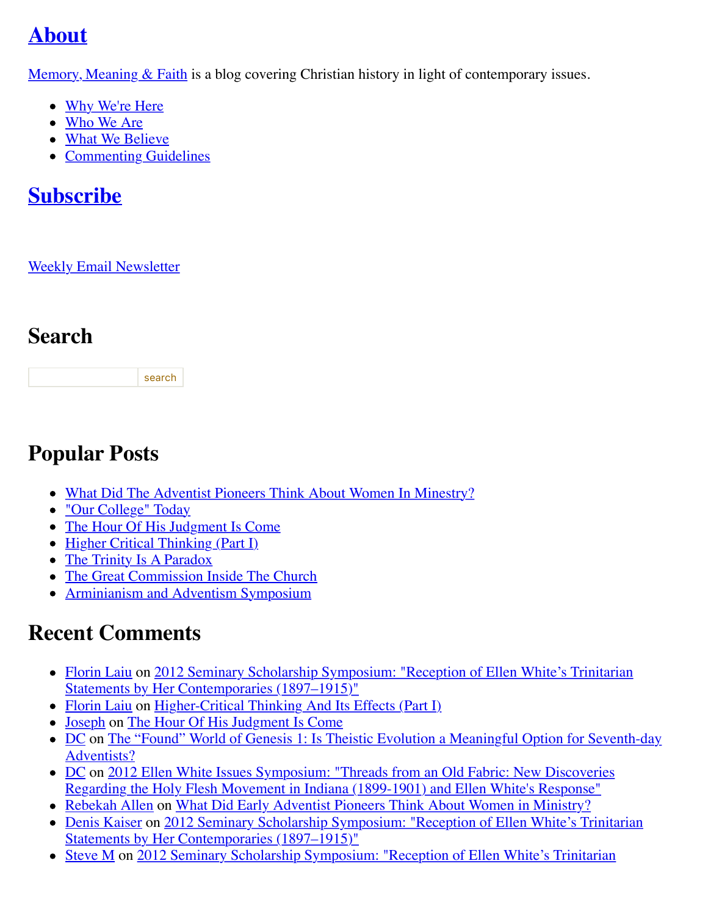# **[About](http://web.archive.org/web/20120712170341/http://memorymeaningfaith.typepad.com/blog/about.html)**

Memory, Meaning  $& Faith$  is a blog covering Christian history in light of contemporary issues.

- [Why We're Here](http://web.archive.org/web/20120712170341/http://www.memorymeaningfaith.org/blog/why-were-here.html)
- [Who We Are](http://web.archive.org/web/20120712170341/http://www.memorymeaningfaith.org/blog/who-we-are.html)
- [What We Believe](http://web.archive.org/web/20120712170341/http://www.memorymeaningfaith.org/blog/what-we-believe.html)
- [Commenting Guidelines](http://web.archive.org/web/20120712170341/http://www.memorymeaningfaith.org/blog/commenting-guidelines.html)

### **[Subscribe](http://web.archive.org/web/20120712170341/http://www.memorymeaningfaith.org/blog/subscribe.html)**

#### [Weekly Email Newsletter](http://web.archive.org/web/20120712170341/http://eepurl.com/im9P)

### **Search**

search

### **Popular Posts**

- [What Did The Adventist Pioneers Think About Women In Minestry?](http://web.archive.org/web/20120712170341/http://www.memorymeaningfaith.org/blog/2010/04/adventist-pioneers-women-ministry.html)
- ["Our College" Today](http://web.archive.org/web/20120712170341/http://www.memorymeaningfaith.org/blog/2010/06/our-college-today-.html)
- [The Hour Of His Judgment Is Come](http://web.archive.org/web/20120712170341/http://www.memorymeaningfaith.org/blog/2010/04/hour-judgment-is-come.html)
- [Higher Critical Thinking \(Part I\)](http://web.archive.org/web/20120712170341/http://www.memorymeaningfaith.org/blog/2010/03/highercritical-thinking-part-i.html)
- [The Trinity Is A Paradox](http://web.archive.org/web/20120712170341/http://www.memorymeaningfaith.org/blog/2010/03/the-trinity-is-a-paradox.html)
- [The Great Commission Inside The Church](http://web.archive.org/web/20120712170341/http://www.memorymeaningfaith.org/blog/2010/04/the-great-comission-inside-the-church.html)
- [Arminianism and Adventism Symposium](http://web.archive.org/web/20120712170341/http://www.memorymeaningfaith.org/blog/arminianism-and-adventism-symposium/)

# **Recent Comments**

- [Florin Lai](http://web.archive.org/web/20120712170341/http://www.memorymeaningfaith.org/blog/2012/02/2012-seminary-scholarship-symposium-.html?cid=6a01287656f488970c017616148ab1970c#comment-6a01287656f488970c017616148ab1970c)[u on 2012 Seminary Scholarship Symposium: "Reception of Ellen White's Trinitarian](http://web.archive.org/web/20120712170341/http://www.memorymeaningfaith.org/blog/2012/02/2012-seminary-scholarship-symposium-.html) Statements by Her Contemporaries (1897–1915)"
- [Florin Laiu](http://web.archive.org/web/20120712170341/http://www.memorymeaningfaith.org/blog/2010/03/highercritical-thinking-part-i.html?cid=6a01287656f488970c017615d52191970c#comment-6a01287656f488970c017615d52191970c) on [Higher-Critical Thinking And Its Effects \(Part I\)](http://web.archive.org/web/20120712170341/http://www.memorymeaningfaith.org/blog/2010/03/highercritical-thinking-part-i.html)
- [Joseph](http://web.archive.org/web/20120712170341/http://www.memorymeaningfaith.org/blog/2010/04/hour-judgment-is-come.html?cid=6a01287656f488970c0176159b59aa970c#comment-6a01287656f488970c0176159b59aa970c) on [The Hour Of His Judgment Is Come](http://web.archive.org/web/20120712170341/http://www.memorymeaningfaith.org/blog/2010/04/hour-judgment-is-come.html)
- [DC on The "Found" World of Genesis 1: Is Theistic Evolution a Meaningful Option for Seventh-day](http://web.archive.org/web/20120712170341/http://www.memorymeaningfaith.org/blog/2011/01/found-world-of-genesis-1-theistic-evolution-1.html) Adventists?
- [DC on 2012 Ellen White Issues Symposium: "Threads from an Old Fabric: New Discoveries](http://web.archive.org/web/20120712170341/http://www.memorymeaningfaith.org/blog/2012/04/2012-ellen-whites-issues-symposium-threads-from-an-old-fabric-holy-flesh-movement-indiana.html) Regarding the Holy Flesh Movement in Indiana (1899-1901) and Ellen White's Response"
- [Rebekah Allen](http://web.archive.org/web/20120712170341/http://www.memorymeaningfaith.org/blog/2010/04/adventist-pioneers-women-ministry.html?cid=6a01287656f488970c0168eb2eb63d970c#comment-6a01287656f488970c0168eb2eb63d970c) on [What Did Early Adventist Pioneers Think About Women in Ministry?](http://web.archive.org/web/20120712170341/http://www.memorymeaningfaith.org/blog/2010/04/adventist-pioneers-women-ministry.html)
- [Denis Kaiser on 2012 Seminary Scholarship Symposium: "Reception of Ellen White's Trinitarian](http://web.archive.org/web/20120712170341/http://www.memorymeaningfaith.org/blog/2012/02/2012-seminary-scholarship-symposium-.html) Statements by Her Contemporaries (1897–1915)"
- [Steve M on 2012 Seminary Scholarship Symposium: "Reception of Ellen White's Trinitarian](http://web.archive.org/web/20120712170341/http://www.memorymeaningfaith.org/blog/2012/02/2012-seminary-scholarship-symposium-.html)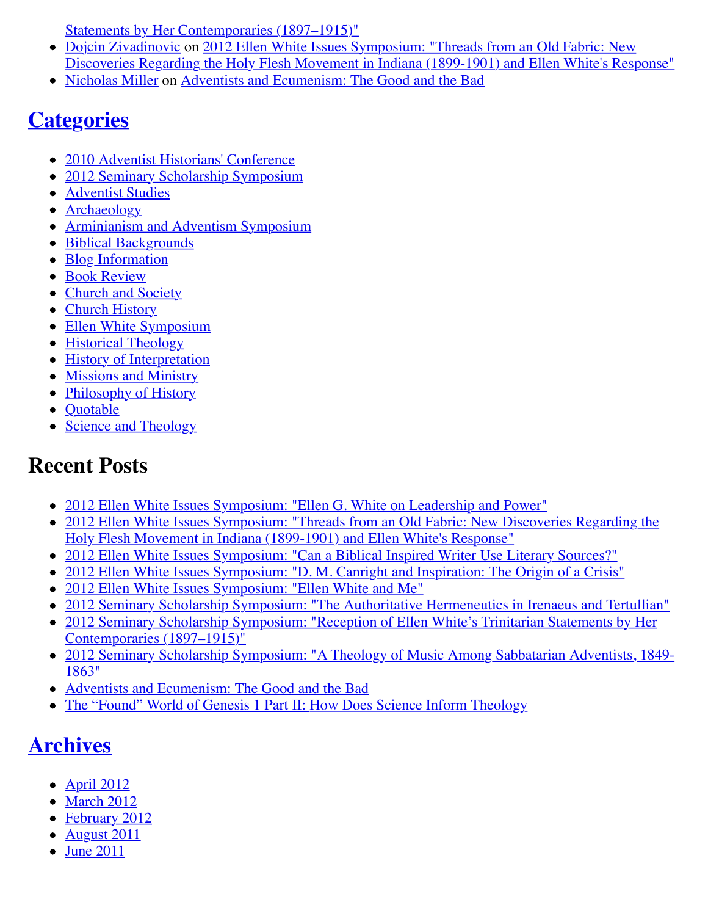[Statements by Her Contemporaries \(1897–1915\)"](http://web.archive.org/web/20120712170341/http://www.memorymeaningfaith.org/blog/2012/02/2012-seminary-scholarship-symposium-.html)

- [Dojcin Zivadinovic](http://web.archive.org/web/20120712170341/http://www.memorymeaningfaith.org/blog/2012/04/2012-ellen-whites-issues-symposium-threads-from-an-old-fabric-holy-flesh-movement-indiana.html?cid=6a01287656f488970c0168ea439e71970c#comment-6a01287656f488970c0168ea439e71970c) on 2012 Ellen White Issues Symposium: "Threads from an Old Fabric: New [Discoveries Regarding the Holy Flesh Movement in Indiana \(1899-1901\) and Ellen White's Response"](http://web.archive.org/web/20120712170341/http://www.memorymeaningfaith.org/blog/2012/04/2012-ellen-whites-issues-symposium-threads-from-an-old-fabric-holy-flesh-movement-indiana.html)
- [Nicholas Miller](http://web.archive.org/web/20120712170341/http://www.memorymeaningfaith.org/blog/2012/02/adventists-and-ecumenism-the-good-and-the-bad.html?cid=6a01287656f488970c01676529bb76970b#comment-6a01287656f488970c01676529bb76970b) on [Adventists and Ecumenism: The Good and the Bad](http://web.archive.org/web/20120712170341/http://www.memorymeaningfaith.org/blog/2012/02/adventists-and-ecumenism-the-good-and-the-bad.html)

### **[Categories](http://web.archive.org/web/20120712170341/http://www.memorymeaningfaith.org/blog/archives.html)**

- [2010 Adventist Historians' Conference](http://web.archive.org/web/20120712170341/http://www.memorymeaningfaith.org/blog/2010-adventist-historians-conference/)
- [2012 Seminary Scholarship Symposium](http://web.archive.org/web/20120712170341/http://www.memorymeaningfaith.org/blog/2012-seminary-scholarship-symposium/)
- **[Adventist Studies](http://web.archive.org/web/20120712170341/http://www.memorymeaningfaith.org/blog/adventist-studies/)**
- [Archaeology](http://web.archive.org/web/20120712170341/http://www.memorymeaningfaith.org/blog/archaeology/)
- [Arminianism and Adventism Symposium](http://web.archive.org/web/20120712170341/http://www.memorymeaningfaith.org/blog/arminianism-and-adventism-symposium/)
- [Biblical Backgrounds](http://web.archive.org/web/20120712170341/http://www.memorymeaningfaith.org/blog/biblical-backgrounds/)
- [Blog Information](http://web.archive.org/web/20120712170341/http://www.memorymeaningfaith.org/blog/blog-info/)
- [Book Review](http://web.archive.org/web/20120712170341/http://www.memorymeaningfaith.org/blog/book-review/)
- [Church and Society](http://web.archive.org/web/20120712170341/http://www.memorymeaningfaith.org/blog/church-and-society/)
- [Church History](http://web.archive.org/web/20120712170341/http://www.memorymeaningfaith.org/blog/church-history/)
- [Ellen White Symposium](http://web.archive.org/web/20120712170341/http://www.memorymeaningfaith.org/blog/ellen-white-symposium/)
- [Historical Theology](http://web.archive.org/web/20120712170341/http://www.memorymeaningfaith.org/blog/theology/)
- [History of Interpretation](http://web.archive.org/web/20120712170341/http://www.memorymeaningfaith.org/blog/history-of-interpretation/)
- [Missions and Ministry](http://web.archive.org/web/20120712170341/http://www.memorymeaningfaith.org/blog/missions-and-ministry/)
- [Philosophy of History](http://web.archive.org/web/20120712170341/http://www.memorymeaningfaith.org/blog/philosophy-of-history/)
- [Quotable](http://web.archive.org/web/20120712170341/http://www.memorymeaningfaith.org/blog/sources/)
- [Science and Theology](http://web.archive.org/web/20120712170341/http://www.memorymeaningfaith.org/blog/science-and-theology/)

### **Recent Posts**

- [2012 Ellen White Issues Symposium: "Ellen G. White on Leadership and Power"](http://web.archive.org/web/20120712170341/http://www.memorymeaningfaith.org/blog/2012/04/2012-ellen-whites-issues-symposium-white-on-leadership-and-power.html)
- [2012 Ellen White Issues Symposium: "Threads from an Old Fabric: New Discoveries Regarding the](http://web.archive.org/web/20120712170341/http://www.memorymeaningfaith.org/blog/2012/04/2012-ellen-whites-issues-symposium-threads-from-an-old-fabric-holy-flesh-movement-indiana.html) Holy Flesh Movement in Indiana (1899-1901) and Ellen White's Response"
- [2012 Ellen White Issues Symposium: "Can a Biblical Inspired Writer Use Literary Sources?"](http://web.archive.org/web/20120712170341/http://www.memorymeaningfaith.org/blog/2012/03/2012-ellen-whites-issues-symposium-inspired-writer-literary-sources.html)
- [2012 Ellen White Issues Symposium: "D. M. Canright and Inspiration: The Origin of a Crisis"](http://web.archive.org/web/20120712170341/http://www.memorymeaningfaith.org/blog/2012/03/2012-ellen-whites-issues-symposium-canright-ellen-white-inspiration-crisis.html)
- [2012 Ellen White Issues Symposium: "Ellen White and Me"](http://web.archive.org/web/20120712170341/http://www.memorymeaningfaith.org/blog/2012/03/2012-ellen-white-issues-symposium-ellen-white-and-me.html)
- [2012 Seminary Scholarship Symposium: "The Authoritative Hermeneutics in Irenaeus and Tertullian"](http://web.archive.org/web/20120712170341/http://www.memorymeaningfaith.org/blog/2012/03/2012-sss-authoritative-hermeneutics-in-irenaeus-and-tertullian.html)
- [2012 Seminary Scholarship Symposium: "Reception of Ellen White's Trinitarian Statements by Her](http://web.archive.org/web/20120712170341/http://www.memorymeaningfaith.org/blog/2012/02/2012-seminary-scholarship-symposium-.html) Contemporaries (1897–1915)"
- [2012 Seminary Scholarship Symposium: "A Theology of Music Among Sabbatarian Adventists, 1849-](http://web.archive.org/web/20120712170341/http://www.memorymeaningfaith.org/blog/2012/02/2012-sss-theology-of-music-sabbatarian-adventists-1849-1863.html) 1863"
- [Adventists and Ecumenism: The Good and the Bad](http://web.archive.org/web/20120712170341/http://www.memorymeaningfaith.org/blog/2012/02/adventists-and-ecumenism-the-good-and-the-bad.html)
- [The "Found" World of Genesis 1 Part II: How Does Science Inform Theology](http://web.archive.org/web/20120712170341/http://www.memorymeaningfaith.org/blog/2011/08/the-found-world-of-genesis-1-part-ii-science-informing-theology.html)

# **[Archives](http://web.archive.org/web/20120712170341/http://www.memorymeaningfaith.org/blog/archives.html)**

- $\bullet$  [April 2012](http://web.archive.org/web/20120712170341/http://www.memorymeaningfaith.org/blog/2012/04/index.html)
- [March 2012](http://web.archive.org/web/20120712170341/http://www.memorymeaningfaith.org/blog/2012/03/index.html)
- [February 2012](http://web.archive.org/web/20120712170341/http://www.memorymeaningfaith.org/blog/2012/02/index.html)
- [August 2011](http://web.archive.org/web/20120712170341/http://www.memorymeaningfaith.org/blog/2011/08/index.html)
- [June 2011](http://web.archive.org/web/20120712170341/http://www.memorymeaningfaith.org/blog/2011/06/index.html)